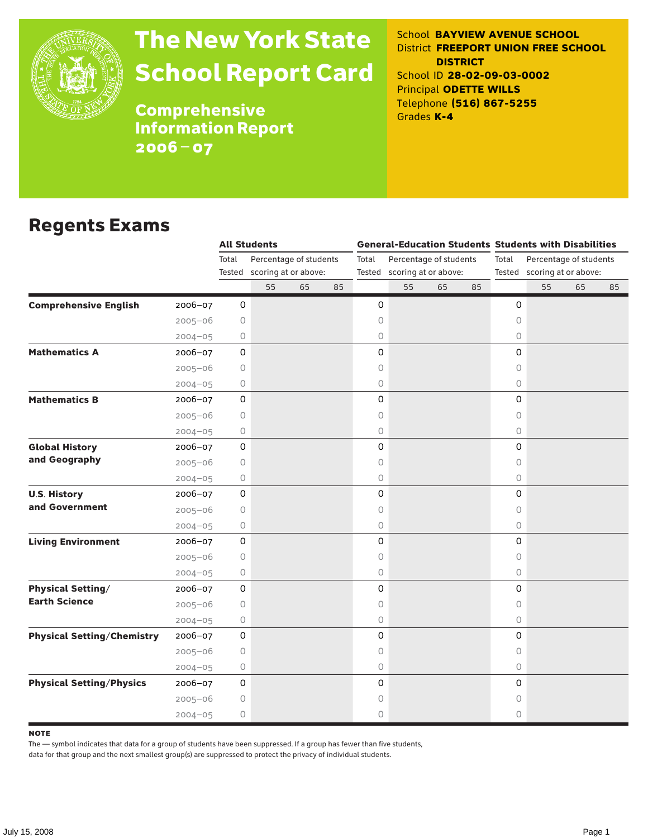

# The New York State School Report Card

School **BAYVIEW AVENUE SCHOOL** District **FREEPORT UNION FREE SCHOOL DISTRICT** School ID **28-02-09-03-0002** Principal **ODETTE WILLS** Telephone **(516) 867-5255** Grades **K-4**

**Comprehensive** Information Report 2006–07

### Regents Exams

|                                                  |             | <b>All Students</b> |                                                       |    |    |       |                                                       |    |    | <b>General-Education Students Students with Disabilities</b> |                                                       |    |    |  |
|--------------------------------------------------|-------------|---------------------|-------------------------------------------------------|----|----|-------|-------------------------------------------------------|----|----|--------------------------------------------------------------|-------------------------------------------------------|----|----|--|
|                                                  |             | Total               | Percentage of students<br>Tested scoring at or above: |    |    | Total | Percentage of students<br>Tested scoring at or above: |    |    | Total                                                        | Percentage of students<br>Tested scoring at or above: |    |    |  |
|                                                  |             |                     |                                                       |    |    |       |                                                       |    |    |                                                              |                                                       |    |    |  |
|                                                  |             |                     | 55                                                    | 65 | 85 |       | 55                                                    | 65 | 85 |                                                              | 55                                                    | 65 | 85 |  |
| <b>Comprehensive English</b><br>2006-07          |             | 0                   |                                                       |    |    | 0     |                                                       |    |    | 0                                                            |                                                       |    |    |  |
| $2005 - 06$                                      |             | 0                   |                                                       |    |    | 0     |                                                       |    |    | $\circ$                                                      |                                                       |    |    |  |
| $2004 - 05$                                      |             | 0                   |                                                       |    |    | 0     |                                                       |    |    | 0                                                            |                                                       |    |    |  |
| <b>Mathematics A</b><br>2006-07                  |             | 0                   |                                                       |    |    | 0     |                                                       |    |    | 0                                                            |                                                       |    |    |  |
| $2005 - 06$                                      |             | 0                   |                                                       |    |    | 0     |                                                       |    |    | 0                                                            |                                                       |    |    |  |
| $2004 - 05$                                      |             | 0                   |                                                       |    |    | 0     |                                                       |    |    | 0                                                            |                                                       |    |    |  |
| <b>Mathematics B</b><br>2006-07                  |             | 0                   |                                                       |    |    | 0     |                                                       |    |    | 0                                                            |                                                       |    |    |  |
| $2005 - 06$                                      |             | $\circ$             |                                                       |    |    | 0     |                                                       |    |    | $\circ$                                                      |                                                       |    |    |  |
| $2004 - 05$                                      |             | 0                   |                                                       |    |    | 0     |                                                       |    |    | $\circ$                                                      |                                                       |    |    |  |
| <b>Global History</b><br>2006-07                 |             | 0                   |                                                       |    |    | 0     |                                                       |    |    | $\mathsf{O}\xspace$                                          |                                                       |    |    |  |
| and Geography<br>$2005 - 06$                     |             | $\circ$             |                                                       |    |    | 0     |                                                       |    |    | 0                                                            |                                                       |    |    |  |
| $2004 - 05$                                      |             | 0                   |                                                       |    |    | 0     |                                                       |    |    | $\circ$                                                      |                                                       |    |    |  |
| <b>U.S. History</b><br>2006-07                   |             | 0                   |                                                       |    |    | 0     |                                                       |    |    | $\mathsf O$                                                  |                                                       |    |    |  |
| and Government<br>$2005 - 06$                    |             | 0                   |                                                       |    |    | 0     |                                                       |    |    | $\circ$                                                      |                                                       |    |    |  |
| $2004 - 05$                                      |             | 0                   |                                                       |    |    | 0     |                                                       |    |    | $\circ$                                                      |                                                       |    |    |  |
| <b>Living Environment</b><br>2006-07             |             | 0                   |                                                       |    |    | 0     |                                                       |    |    | 0                                                            |                                                       |    |    |  |
| $2005 - 06$                                      |             | 0                   |                                                       |    |    | 0     |                                                       |    |    | $\circ$                                                      |                                                       |    |    |  |
|                                                  | $2004 - 05$ | 0                   |                                                       |    |    | 0     |                                                       |    |    | $\circ$                                                      |                                                       |    |    |  |
| <b>Physical Setting/</b><br>2006-07              |             | $\mathsf{O}\xspace$ |                                                       |    |    | 0     |                                                       |    |    | 0                                                            |                                                       |    |    |  |
| <b>Earth Science</b><br>$2005 - 06$              |             | 0                   |                                                       |    |    | 0     |                                                       |    |    | 0                                                            |                                                       |    |    |  |
| $2004 - 05$                                      |             | 0                   |                                                       |    |    | 0     |                                                       |    |    | $\circ$                                                      |                                                       |    |    |  |
| <b>Physical Setting/Chemistry</b><br>$2006 - 07$ |             | 0                   |                                                       |    |    | 0     |                                                       |    |    | 0                                                            |                                                       |    |    |  |
| $2005 - 06$                                      |             | 0                   |                                                       |    |    | 0     |                                                       |    |    | 0                                                            |                                                       |    |    |  |
| $2004 - 05$                                      |             | 0                   |                                                       |    |    | 0     |                                                       |    |    | $\circ$                                                      |                                                       |    |    |  |
| <b>Physical Setting/Physics</b><br>$2006 - 07$   |             | 0                   |                                                       |    |    | 0     |                                                       |    |    | 0                                                            |                                                       |    |    |  |
| $2005 - 06$                                      |             | 0                   |                                                       |    |    | 0     |                                                       |    |    | 0                                                            |                                                       |    |    |  |
| $2004 - 05$                                      |             | 0                   |                                                       |    |    | 0     |                                                       |    |    | 0                                                            |                                                       |    |    |  |

#### **NOTE**

The — symbol indicates that data for a group of students have been suppressed. If a group has fewer than five students,

data for that group and the next smallest group(s) are suppressed to protect the privacy of individual students.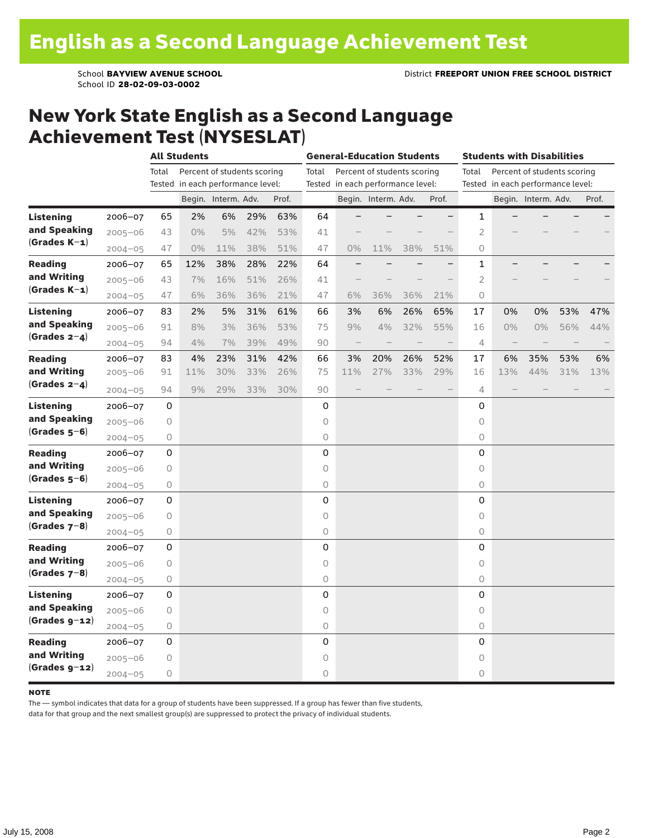School ID **28-02-09-03-0002**

### New York State English as a Second Language Achievement Test (NYSESLAT)

|                                                    |             | <b>All Students</b> |                                   |                             |     |       |                                   | <b>General-Education Students</b> |                             |     |                          |                                   | <b>Students with Disabilities</b> |                             |     |       |  |  |
|----------------------------------------------------|-------------|---------------------|-----------------------------------|-----------------------------|-----|-------|-----------------------------------|-----------------------------------|-----------------------------|-----|--------------------------|-----------------------------------|-----------------------------------|-----------------------------|-----|-------|--|--|
|                                                    |             | Total               |                                   | Percent of students scoring |     |       | Total                             |                                   | Percent of students scoring |     |                          | Total                             |                                   | Percent of students scoring |     |       |  |  |
|                                                    |             |                     | Tested in each performance level: |                             |     |       | Tested in each performance level: |                                   |                             |     |                          | Tested in each performance level: |                                   |                             |     |       |  |  |
|                                                    |             |                     |                                   | Begin. Interm. Adv.         |     | Prof. |                                   |                                   | Begin. Interm. Adv.         |     | Prof.                    |                                   |                                   | Begin. Interm. Adv.         |     | Prof. |  |  |
| <b>Listening</b>                                   | 2006-07     | 65                  | 2%                                | 6%                          | 29% | 63%   | 64                                |                                   |                             |     | $\overline{\phantom{0}}$ | 1                                 |                                   |                             |     |       |  |  |
| and Speaking<br>$(Grades K-1)$                     | $2005 - 06$ | 43                  | $0\%$                             | 5%                          | 42% | 53%   | 41                                |                                   |                             |     |                          | 2                                 |                                   |                             |     |       |  |  |
|                                                    | $2004 - 05$ | 47                  | $0\%$                             | 11%                         | 38% | 51%   | 47                                | 0%                                | 11%                         | 38% | 51%                      | 0                                 |                                   |                             |     |       |  |  |
| <b>Reading</b>                                     | 2006-07     | 65                  | 12%                               | 38%                         | 28% | 22%   | 64                                |                                   |                             |     |                          | $\mathbf 1$                       |                                   |                             |     |       |  |  |
| and Writing                                        | $2005 - 06$ | 43                  | 7%                                | 16%                         | 51% | 26%   | 41                                |                                   |                             |     |                          | $\overline{2}$                    |                                   |                             |     |       |  |  |
| $(Grades K-1)$                                     | $2004 - 05$ | 47                  | 6%                                | 36%                         | 36% | 21%   | 47                                | 6%                                | 36%                         | 36% | 21%                      | $\Omega$                          |                                   |                             |     |       |  |  |
| <b>Listening</b>                                   | 2006-07     | 83                  | 2%                                | 5%                          | 31% | 61%   | 66                                | 3%                                | 6%                          | 26% | 65%                      | 17                                | 0%                                | 0%                          | 53% | 47%   |  |  |
| and Speaking                                       | $2005 - 06$ | 91                  | 8%                                | 3%                          | 36% | 53%   | 75                                | 9%                                | 4%                          | 32% | 55%                      | 16                                | $0\%$                             | $0\%$                       | 56% | 44%   |  |  |
| $(Grades 2-4)$                                     | $2004 - 05$ | 94                  | 4%                                | 7%                          | 39% | 49%   | 90                                | $\overline{\phantom{m}}$          |                             |     |                          | 4                                 | $\overline{\phantom{m}}$          |                             |     |       |  |  |
| <b>Reading</b>                                     | 2006-07     | 83                  | 4%                                | 23%                         | 31% | 42%   | 66                                | 3%                                | 20%                         | 26% | 52%                      | 17                                | 6%                                | 35%                         | 53% | 6%    |  |  |
| and Writing<br>(Grades $2-4$ )                     | 2005-06     | 91                  | 11%                               | 30%                         | 33% | 26%   | 75                                | 11%                               | 27%                         | 33% | 29%                      | 16                                | 13%                               | 44%                         | 31% | 13%   |  |  |
|                                                    | $2004 - 05$ | 94                  | 9%                                | 29%                         | 33% | 30%   | 90                                |                                   |                             |     |                          | 4                                 |                                   |                             |     |       |  |  |
| <b>Listening</b><br>and Speaking<br>$(Grades 5-6)$ | 2006-07     | 0                   |                                   |                             |     |       | 0                                 |                                   |                             |     |                          | 0                                 |                                   |                             |     |       |  |  |
|                                                    | $2005 - 06$ | 0                   |                                   |                             |     |       | 0                                 |                                   |                             |     |                          | $\circ$                           |                                   |                             |     |       |  |  |
|                                                    | $2004 - 05$ | 0                   |                                   |                             |     |       | 0                                 |                                   |                             |     |                          | 0                                 |                                   |                             |     |       |  |  |
| <b>Reading</b>                                     | 2006-07     | 0                   |                                   |                             |     |       | 0                                 |                                   |                             |     |                          | 0                                 |                                   |                             |     |       |  |  |
| and Writing                                        | $2005 - 06$ | $\circ$             |                                   |                             |     |       | 0                                 |                                   |                             |     |                          | $\circ$                           |                                   |                             |     |       |  |  |
| $(Grades 5-6)$                                     | $2004 - 05$ | 0                   |                                   |                             |     |       | 0                                 |                                   |                             |     |                          | 0                                 |                                   |                             |     |       |  |  |
| Listening<br>and Speaking<br>$(Grades 7-8)$        | 2006-07     | 0                   |                                   |                             |     |       | 0                                 |                                   |                             |     |                          | 0                                 |                                   |                             |     |       |  |  |
|                                                    | $2005 - 06$ | 0                   |                                   |                             |     |       | 0                                 |                                   |                             |     |                          | 0                                 |                                   |                             |     |       |  |  |
|                                                    | $2004 - 05$ | 0                   |                                   |                             |     |       | 0                                 |                                   |                             |     |                          | 0                                 |                                   |                             |     |       |  |  |
| <b>Reading</b>                                     | 2006-07     | 0                   |                                   |                             |     |       | 0                                 |                                   |                             |     |                          | 0                                 |                                   |                             |     |       |  |  |
| and Writing                                        | $2005 - 06$ | $\mathsf O$         |                                   |                             |     |       | 0                                 |                                   |                             |     |                          | $\circ$                           |                                   |                             |     |       |  |  |
| $(Grades 7-8)$                                     | $2004 - 05$ | 0                   |                                   |                             |     |       | 0                                 |                                   |                             |     |                          | 0                                 |                                   |                             |     |       |  |  |
| Listening<br>and Speaking<br>$(Grades g-12)$       | 2006-07     | 0                   |                                   |                             |     |       | 0                                 |                                   |                             |     |                          | 0                                 |                                   |                             |     |       |  |  |
|                                                    | $2005 - 06$ | 0                   |                                   |                             |     |       | 0                                 |                                   |                             |     |                          | 0                                 |                                   |                             |     |       |  |  |
|                                                    | $2004 - 05$ | 0                   |                                   |                             |     |       | 0                                 |                                   |                             |     |                          | 0                                 |                                   |                             |     |       |  |  |
| <b>Reading</b>                                     | 2006-07     | 0                   |                                   |                             |     |       | 0                                 |                                   |                             |     |                          | 0                                 |                                   |                             |     |       |  |  |
| and Writing                                        | $2005 - 06$ | 0                   |                                   |                             |     |       | 0                                 |                                   |                             |     |                          | 0                                 |                                   |                             |     |       |  |  |
| $(Grades g-12)$                                    | $2004 - 05$ | 0                   |                                   |                             |     |       | 0                                 |                                   |                             |     |                          | 0                                 |                                   |                             |     |       |  |  |

#### **NOTE**

The — symbol indicates that data for a group of students have been suppressed. If a group has fewer than five students,

data for that group and the next smallest group(s) are suppressed to protect the privacy of individual students.